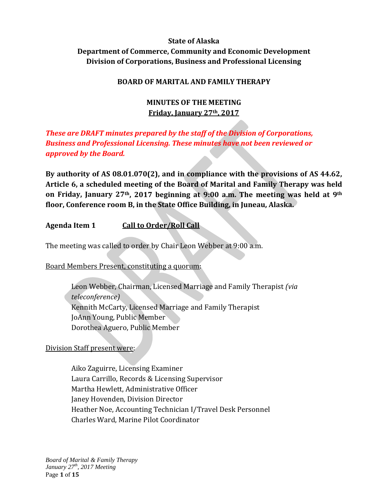# **State of Alaska Department of Commerce, Community and Economic Development Division of Corporations, Business and Professional Licensing**

# **BOARD OF MARITAL AND FAMILY THERAPY**

# **MINUTES OF THE MEETING Friday, January 27th, 2017**

# *These are DRAFT minutes prepared by the staff of the Division of Corporations, Business and Professional Licensing. These minutes have not been reviewed or approved by the Board.*

**By authority of AS 08.01.070(2), and in compliance with the provisions of AS 44.62, Article 6, a scheduled meeting of the Board of Marital and Family Therapy was held on Friday, January 27th, 2017 beginning at 9:00 a.m. The meeting was held at 9th floor, Conference room B, in the State Office Building, in Juneau, Alaska.**

# **Agenda Item 1 Call to Order/Roll Call**

The meeting was called to order by Chair Leon Webber at 9:00 a.m.

Board Members Present, constituting a quorum:

Leon Webber, Chairman, Licensed Marriage and Family Therapist *(via teleconference)* Kennith McCarty, Licensed Marriage and Family Therapist JoAnn Young, Public Member Dorothea Aguero, Public Member

# Division Staff present were:

Aiko Zaguirre, Licensing Examiner Laura Carrillo, Records & Licensing Supervisor Martha Hewlett, Administrative Officer Janey Hovenden, Division Director Heather Noe, Accounting Technician I/Travel Desk Personnel Charles Ward, Marine Pilot Coordinator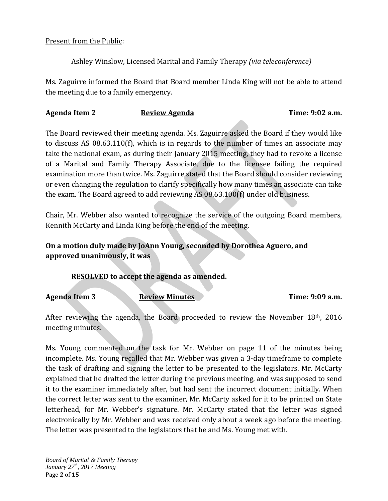### Present from the Public:

Ashley Winslow, Licensed Marital and Family Therapy *(via teleconference)*

Ms. Zaguirre informed the Board that Board member Linda King will not be able to attend the meeting due to a family emergency.

# **Agenda Item 2 Review Agenda Time: 9:02 a.m.**

The Board reviewed their meeting agenda. Ms. Zaguirre asked the Board if they would like to discuss AS 08.63.110(f), which is in regards to the number of times an associate may take the national exam, as during their January 2015 meeting, they had to revoke a license of a Marital and Family Therapy Associate, due to the licensee failing the required examination more than twice. Ms. Zaguirre stated that the Board should consider reviewing or even changing the regulation to clarify specifically how many times an associate can take the exam. The Board agreed to add reviewing AS 08.63.100(f) under old business.

Chair, Mr. Webber also wanted to recognize the service of the outgoing Board members, Kennith McCarty and Linda King before the end of the meeting.

# **On a motion duly made by JoAnn Young, seconded by Dorothea Aguero, and approved unanimously, it was**

**RESOLVED to accept the agenda as amended.**

**Agenda Item 3 Review Minutes Time: 9:09 a.m.**

After reviewing the agenda, the Board proceeded to review the November 18th, 2016 meeting minutes.

Ms. Young commented on the task for Mr. Webber on page 11 of the minutes being incomplete. Ms. Young recalled that Mr. Webber was given a 3-day timeframe to complete the task of drafting and signing the letter to be presented to the legislators. Mr. McCarty explained that he drafted the letter during the previous meeting, and was supposed to send it to the examiner immediately after, but had sent the incorrect document initially. When the correct letter was sent to the examiner, Mr. McCarty asked for it to be printed on State letterhead, for Mr. Webber's signature. Mr. McCarty stated that the letter was signed electronically by Mr. Webber and was received only about a week ago before the meeting. The letter was presented to the legislators that he and Ms. Young met with.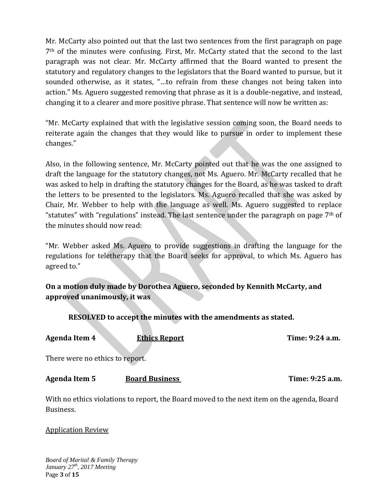Mr. McCarty also pointed out that the last two sentences from the first paragraph on page 7th of the minutes were confusing. First, Mr. McCarty stated that the second to the last paragraph was not clear. Mr. McCarty affirmed that the Board wanted to present the statutory and regulatory changes to the legislators that the Board wanted to pursue, but it sounded otherwise, as it states, "…to refrain from these changes not being taken into action." Ms. Aguero suggested removing that phrase as it is a double-negative, and instead, changing it to a clearer and more positive phrase. That sentence will now be written as:

"Mr. McCarty explained that with the legislative session coming soon, the Board needs to reiterate again the changes that they would like to pursue in order to implement these changes."

Also, in the following sentence, Mr. McCarty pointed out that he was the one assigned to draft the language for the statutory changes, not Ms. Aguero. Mr. McCarty recalled that he was asked to help in drafting the statutory changes for the Board, as he was tasked to draft the letters to be presented to the legislators. Ms. Aguero recalled that she was asked by Chair, Mr. Webber to help with the language as well. Ms. Aguero suggested to replace "statutes" with "regulations" instead. The last sentence under the paragraph on page  $7<sup>th</sup>$  of the minutes should now read:

"Mr. Webber asked Ms. Aguero to provide suggestions in drafting the language for the regulations for teletherapy that the Board seeks for approval, to which Ms. Aguero has agreed to."

**On a motion duly made by Dorothea Aguero, seconded by Kennith McCarty, and approved unanimously, it was**

**RESOLVED to accept the minutes with the amendments as stated.**

| <b>Agenda Item 4</b>                                                                                    | <b>Ethics Report</b>  | Time: 9:24 a.m. |  |  |  |  |
|---------------------------------------------------------------------------------------------------------|-----------------------|-----------------|--|--|--|--|
| There were no ethics to report.                                                                         |                       |                 |  |  |  |  |
| <b>Agenda Item 5</b>                                                                                    | <b>Board Business</b> | Time: 9:25 a.m. |  |  |  |  |
| With no ethics violations to report, the Board moved to the next item on the agenda, Board<br>Business. |                       |                 |  |  |  |  |

Application Review

*Board of Marital & Family Therapy January 27th, 2017 Meeting* Page **3** of **15**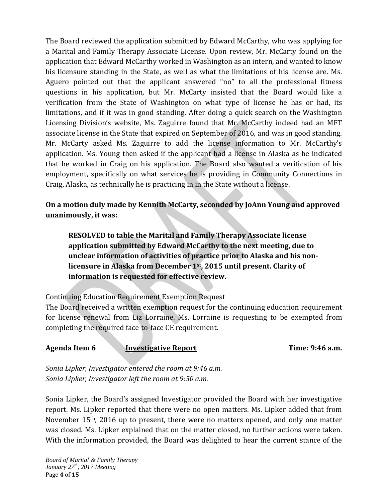The Board reviewed the application submitted by Edward McCarthy, who was applying for a Marital and Family Therapy Associate License. Upon review, Mr. McCarty found on the application that Edward McCarthy worked in Washington as an intern, and wanted to know his licensure standing in the State, as well as what the limitations of his license are. Ms. Aguero pointed out that the applicant answered "no" to all the professional fitness questions in his application, but Mr. McCarty insisted that the Board would like a verification from the State of Washington on what type of license he has or had, its limitations, and if it was in good standing. After doing a quick search on the Washington Licensing Division's website, Ms. Zaguirre found that Mr. McCarthy indeed had an MFT associate license in the State that expired on September of 2016, and was in good standing. Mr. McCarty asked Ms. Zaguirre to add the license information to Mr. McCarthy's application. Ms. Young then asked if the applicant had a license in Alaska as he indicated that he worked in Craig on his application. The Board also wanted a verification of his employment, specifically on what services he is providing in Community Connections in Craig, Alaska, as technically he is practicing in in the State without a license.

# **On a motion duly made by Kennith McCarty, seconded by JoAnn Young and approved unanimously, it was:**

**RESOLVED to table the Marital and Family Therapy Associate license application submitted by Edward McCarthy to the next meeting, due to unclear information of activities of practice prior to Alaska and his nonlicensure in Alaska from December 1st, 2015 until present. Clarity of information is requested for effective review.**

# Continuing Education Requirement Exemption Request

The Board received a written exemption request for the continuing education requirement for license renewal from Liz Lorraine. Ms. Lorraine is requesting to be exempted from completing the required face-to-face CE requirement.

**Agenda Item 6 Investigative Report Time: 9:46 a.m.**

*Sonia Lipker, Investigator entered the room at 9:46 a.m. Sonia Lipker, Investigator left the room at 9:50 a.m.*

Sonia Lipker, the Board's assigned Investigator provided the Board with her investigative report. Ms. Lipker reported that there were no open matters. Ms. Lipker added that from November 15th, 2016 up to present, there were no matters opened, and only one matter was closed. Ms. Lipker explained that on the matter closed, no further actions were taken. With the information provided, the Board was delighted to hear the current stance of the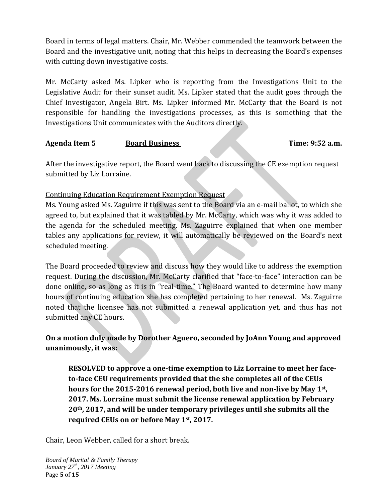Board in terms of legal matters. Chair, Mr. Webber commended the teamwork between the Board and the investigative unit, noting that this helps in decreasing the Board's expenses with cutting down investigative costs.

Mr. McCarty asked Ms. Lipker who is reporting from the Investigations Unit to the Legislative Audit for their sunset audit. Ms. Lipker stated that the audit goes through the Chief Investigator, Angela Birt. Ms. Lipker informed Mr. McCarty that the Board is not responsible for handling the investigations processes, as this is something that the Investigations Unit communicates with the Auditors directly.

### **Agenda Item 5 Board Business Time: 9:52 a.m.**

After the investigative report, the Board went back to discussing the CE exemption request submitted by Liz Lorraine.

# Continuing Education Requirement Exemption Request

Ms. Young asked Ms. Zaguirre if this was sent to the Board via an e-mail ballot, to which she agreed to, but explained that it was tabled by Mr. McCarty, which was why it was added to the agenda for the scheduled meeting. Ms. Zaguirre explained that when one member tables any applications for review, it will automatically be reviewed on the Board's next scheduled meeting.

The Board proceeded to review and discuss how they would like to address the exemption request. During the discussion, Mr. McCarty clarified that "face-to-face" interaction can be done online, so as long as it is in "real-time." The Board wanted to determine how many hours of continuing education she has completed pertaining to her renewal. Ms. Zaguirre noted that the licensee has not submitted a renewal application yet, and thus has not submitted any CE hours.

# **On a motion duly made by Dorother Aguero, seconded by JoAnn Young and approved unanimously, it was:**

**RESOLVED to approve a one-time exemption to Liz Lorraine to meet her faceto-face CEU requirements provided that the she completes all of the CEUs hours for the 2015-2016 renewal period, both live and non-live by May 1st, 2017. Ms. Lorraine must submit the license renewal application by February 20th, 2017, and will be under temporary privileges until she submits all the required CEUs on or before May 1st, 2017.**

Chair, Leon Webber, called for a short break.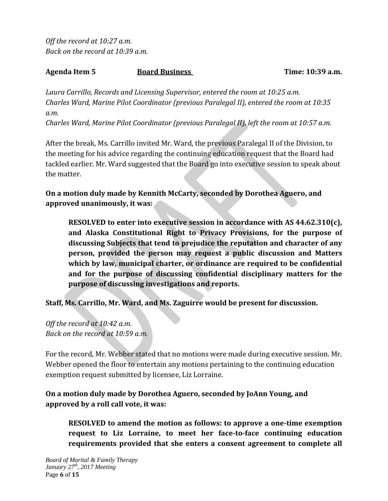*Off the record at 10:27 a.m. Back on the record at 10:39 a.m.*

### Agenda Item 5 Board Business **Board Business** Time: 10:39 a.m.

*Laura Carrillo, Records and Licensing Supervisor, entered the room at 10:25 a.m. Charles Ward, Marine Pilot Coordinator (previous Paralegal II), entered the room at 10:35 a.m.*

*Charles Ward, Marine Pilot Coordinator (previous Paralegal II), left the room at 10:57 a.m.*

After the break, Ms. Carrillo invited Mr. Ward, the previous Paralegal II of the Division, to the meeting for his advice regarding the continuing education request that the Board had tackled earlier. Mr. Ward suggested that the Board go into executive session to speak about the matter.

**On a motion duly made by Kennith McCarty, seconded by Dorothea Aguero, and approved unanimously, it was:** 

**RESOLVED to enter into executive session in accordance with AS 44.62.310(c), and Alaska Constitutional Right to Privacy Provisions, for the purpose of discussing Subjects that tend to prejudice the reputation and character of any person, provided the person may request a public discussion and Matters which by law, municipal charter, or ordinance are required to be confidential and for the purpose of discussing confidential disciplinary matters for the purpose of discussing investigations and reports.** 

**Staff, Ms. Carrillo, Mr. Ward, and Ms. Zaguirre would be present for discussion.**

*Off the record at 10:42 a.m. Back on the record at 10:59 a.m.*

For the record, Mr. Webber stated that no motions were made during executive session. Mr. Webber opened the floor to entertain any motions pertaining to the continuing education exemption request submitted by licensee, Liz Lorraine.

**On a motion duly made by Dorothea Aguero, seconded by JoAnn Young, and approved by a roll call vote, it was:** 

**RESOLVED to amend the motion as follows: to approve a one-time exemption request to Liz Lorraine, to meet her face-to-face continuing education requirements provided that she enters a consent agreement to complete all**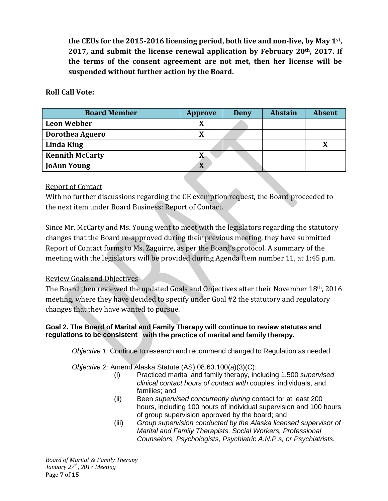**the CEUs for the 2015-2016 licensing period, both live and non-live, by May 1st, 2017, and submit the license renewal application by February 20th, 2017. If the terms of the consent agreement are not met, then her license will be suspended without further action by the Board.** 

### **Roll Call Vote:**

| <b>Board Member</b>    | <b>Approve</b> | <b>Deny</b> | <b>Abstain</b> | <b>Absent</b> |
|------------------------|----------------|-------------|----------------|---------------|
| <b>Leon Webber</b>     |                |             |                |               |
| Dorothea Aguero        |                |             |                |               |
| <b>Linda King</b>      |                |             |                |               |
| <b>Kennith McCarty</b> | л              |             |                |               |
| <b>JoAnn Young</b>     | X              |             |                |               |

### Report of Contact

With no further discussions regarding the CE exemption request, the Board proceeded to the next item under Board Business: Report of Contact.

Since Mr. McCarty and Ms. Young went to meet with the legislators regarding the statutory changes that the Board re-approved during their previous meeting, they have submitted Report of Contact forms to Ms. Zaguirre, as per the Board's protocol. A summary of the meeting with the legislators will be provided during Agenda Item number 11, at 1:45 p.m.

# Review Goals and Objectives

The Board then reviewed the updated Goals and Objectives after their November 18th, 2016 meeting, where they have decided to specify under Goal #2 the statutory and regulatory changes that they have wanted to pursue.

### **Goal 2. The Board of Marital and Family Therapy will continue to review statutes and regulations to be consistent with the practice of marital and family therapy.**

*Objective 1:* Continue to research and recommend changed to Regulation as needed

*Objective 2:* Amend Alaska Statute (AS) 08.63.100(a)(3)(C):

- (i) Practiced marital and family therapy, including 1,500 *supervised clinical contact hours of contact with* couples, individuals, and families; and
- (ii) Been *supervised concurrently during* contact for at least 200 hours, including 100 hours of individual supervision and 100 hours of group supervision approved by the board; and
- (iii) *Group supervision conducted by the Alaska licensed supervisor of Marital and Family Therapists, Social Workers, Professional Counselors, Psychologists, Psychiatric A.N.P.s, or Psychiatrists.*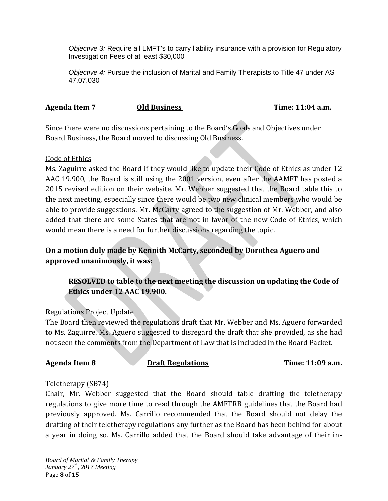*Objective 3:* Require all LMFT's to carry liability insurance with a provision for Regulatory Investigation Fees of at least \$30,000

*Objective 4:* Pursue the inclusion of Marital and Family Therapists to Title 47 under AS 47.07.030

#### Agenda Item 7 **Old Business Time: 11:04 a.m.**

Since there were no discussions pertaining to the Board's Goals and Objectives under Board Business, the Board moved to discussing Old Business.

### Code of Ethics

Ms. Zaguirre asked the Board if they would like to update their Code of Ethics as under 12 AAC 19.900, the Board is still using the 2001 version, even after the AAMFT has posted a 2015 revised edition on their website. Mr. Webber suggested that the Board table this to the next meeting, especially since there would be two new clinical members who would be able to provide suggestions. Mr. McCarty agreed to the suggestion of Mr. Webber, and also added that there are some States that are not in favor of the new Code of Ethics, which would mean there is a need for further discussions regarding the topic.

# **On a motion duly made by Kennith McCarty, seconded by Dorothea Aguero and approved unanimously, it was:**

# **RESOLVED to table to the next meeting the discussion on updating the Code of Ethics under 12 AAC 19.900.**

# Regulations Project Update

The Board then reviewed the regulations draft that Mr. Webber and Ms. Aguero forwarded to Ms. Zaguirre. Ms. Aguero suggested to disregard the draft that she provided, as she had not seen the comments from the Department of Law that is included in the Board Packet.

### **Agenda Item 8 Draft Regulations Time: 11:09 a.m.**

### Teletherapy (SB74)

Chair, Mr. Webber suggested that the Board should table drafting the teletherapy regulations to give more time to read through the AMFTRB guidelines that the Board had previously approved. Ms. Carrillo recommended that the Board should not delay the drafting of their teletherapy regulations any further as the Board has been behind for about a year in doing so. Ms. Carrillo added that the Board should take advantage of their in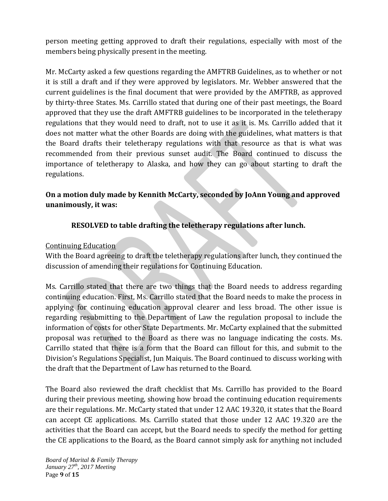person meeting getting approved to draft their regulations, especially with most of the members being physically present in the meeting.

Mr. McCarty asked a few questions regarding the AMFTRB Guidelines, as to whether or not it is still a draft and if they were approved by legislators. Mr. Webber answered that the current guidelines is the final document that were provided by the AMFTRB, as approved by thirty-three States. Ms. Carrillo stated that during one of their past meetings, the Board approved that they use the draft AMFTRB guidelines to be incorporated in the teletherapy regulations that they would need to draft, not to use it as it is. Ms. Carrillo added that it does not matter what the other Boards are doing with the guidelines, what matters is that the Board drafts their teletherapy regulations with that resource as that is what was recommended from their previous sunset audit. The Board continued to discuss the importance of teletherapy to Alaska, and how they can go about starting to draft the regulations.

# **On a motion duly made by Kennith McCarty, seconded by JoAnn Young and approved unanimously, it was:**

# **RESOLVED to table drafting the teletherapy regulations after lunch.**

### Continuing Education

With the Board agreeing to draft the teletherapy regulations after lunch, they continued the discussion of amending their regulations for Continuing Education.

Ms. Carrillo stated that there are two things that the Board needs to address regarding continuing education. First, Ms. Carrillo stated that the Board needs to make the process in applying for continuing education approval clearer and less broad. The other issue is regarding resubmitting to the Department of Law the regulation proposal to include the information of costs for other State Departments. Mr. McCarty explained that the submitted proposal was returned to the Board as there was no language indicating the costs. Ms. Carrillo stated that there is a form that the Board can fillout for this, and submit to the Division's Regulations Specialist, Jun Maiquis. The Board continued to discuss working with the draft that the Department of Law has returned to the Board.

The Board also reviewed the draft checklist that Ms. Carrillo has provided to the Board during their previous meeting, showing how broad the continuing education requirements are their regulations. Mr. McCarty stated that under 12 AAC 19.320, it states that the Board can accept CE applications. Ms. Carrillo stated that those under 12 AAC 19.320 are the activities that the Board can accept, but the Board needs to specify the method for getting the CE applications to the Board, as the Board cannot simply ask for anything not included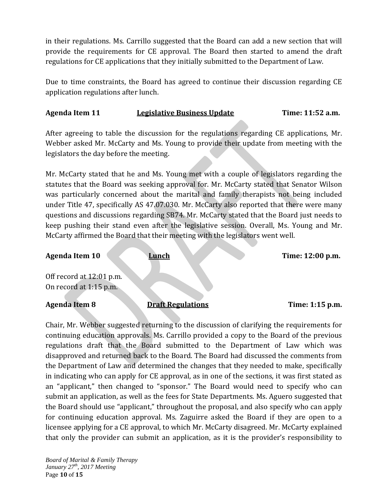in their regulations. Ms. Carrillo suggested that the Board can add a new section that will provide the requirements for CE approval. The Board then started to amend the draft regulations for CE applications that they initially submitted to the Department of Law.

Due to time constraints, the Board has agreed to continue their discussion regarding CE application regulations after lunch.

### Agenda Item 11 **Legislative Business Update** Time: 11:52 a.m.

After agreeing to table the discussion for the regulations regarding CE applications, Mr. Webber asked Mr. McCarty and Ms. Young to provide their update from meeting with the legislators the day before the meeting.

Mr. McCarty stated that he and Ms. Young met with a couple of legislators regarding the statutes that the Board was seeking approval for. Mr. McCarty stated that Senator Wilson was particularly concerned about the marital and family therapists not being included under Title 47, specifically AS 47.07.030. Mr. McCarty also reported that there were many questions and discussions regarding SB74. Mr. McCarty stated that the Board just needs to keep pushing their stand even after the legislative session. Overall, Ms. Young and Mr. McCarty affirmed the Board that their meeting with the legislators went well.

# Agenda Item 10 Lunch Lunch Time: 12:00 p.m. Off record at 12:01 p.m. On record at 1:15 p.m. Agenda Item 8 **Draft Regulations Time: 1:15 p.m.**

Chair, Mr. Webber suggested returning to the discussion of clarifying the requirements for continuing education approvals. Ms. Carrillo provided a copy to the Board of the previous regulations draft that the Board submitted to the Department of Law which was disapproved and returned back to the Board. The Board had discussed the comments from the Department of Law and determined the changes that they needed to make, specifically in indicating who can apply for CE approval, as in one of the sections, it was first stated as an "applicant," then changed to "sponsor." The Board would need to specify who can submit an application, as well as the fees for State Departments. Ms. Aguero suggested that the Board should use "applicant," throughout the proposal, and also specify who can apply for continuing education approval. Ms. Zaguirre asked the Board if they are open to a licensee applying for a CE approval, to which Mr. McCarty disagreed. Mr. McCarty explained that only the provider can submit an application, as it is the provider's responsibility to

*Board of Marital & Family Therapy January 27th, 2017 Meeting* Page **10** of **15**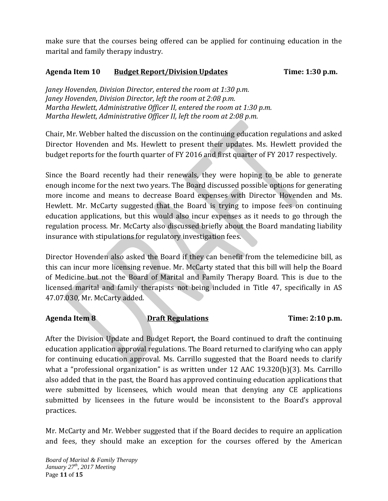make sure that the courses being offered can be applied for continuing education in the marital and family therapy industry.

## Agenda Item 10 **Budget Report/Division Updates** Time: 1:30 p.m.

*Janey Hovenden, Division Director, entered the room at 1:30 p.m. Janey Hovenden, Division Director, left the room at 2:08 p.m. Martha Hewlett, Administrative Officer II, entered the room at 1:30 p.m. Martha Hewlett, Administrative Officer II, left the room at 2:08 p.m.*

Chair, Mr. Webber halted the discussion on the continuing education regulations and asked Director Hovenden and Ms. Hewlett to present their updates. Ms. Hewlett provided the budget reports for the fourth quarter of FY 2016 and first quarter of FY 2017 respectively.

Since the Board recently had their renewals, they were hoping to be able to generate enough income for the next two years. The Board discussed possible options for generating more income and means to decrease Board expenses with Director Hovenden and Ms. Hewlett. Mr. McCarty suggested that the Board is trying to impose fees on continuing education applications, but this would also incur expenses as it needs to go through the regulation process. Mr. McCarty also discussed briefly about the Board mandating liability insurance with stipulations for regulatory investigation fees.

Director Hovenden also asked the Board if they can benefit from the telemedicine bill, as this can incur more licensing revenue. Mr. McCarty stated that this bill will help the Board of Medicine but not the Board of Marital and Family Therapy Board. This is due to the licensed marital and family therapists not being included in Title 47, specifically in AS 47.07.030, Mr. McCarty added.

### Agenda Item 8 **Draft Regulations Time: 2:10 p.m.**

After the Division Update and Budget Report, the Board continued to draft the continuing education application approval regulations. The Board returned to clarifying who can apply for continuing education approval. Ms. Carrillo suggested that the Board needs to clarify what a "professional organization" is as written under 12 AAC 19.320(b)(3). Ms. Carrillo also added that in the past, the Board has approved continuing education applications that were submitted by licensees, which would mean that denying any CE applications submitted by licensees in the future would be inconsistent to the Board's approval practices.

Mr. McCarty and Mr. Webber suggested that if the Board decides to require an application and fees, they should make an exception for the courses offered by the American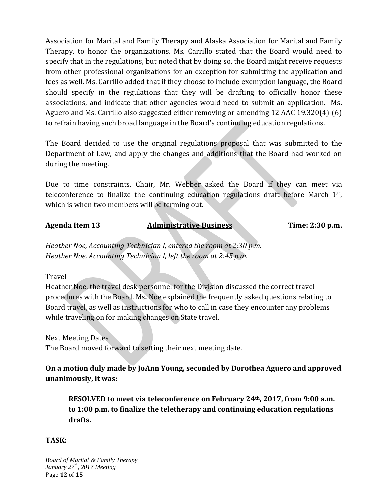Association for Marital and Family Therapy and Alaska Association for Marital and Family Therapy, to honor the organizations. Ms. Carrillo stated that the Board would need to specify that in the regulations, but noted that by doing so, the Board might receive requests from other professional organizations for an exception for submitting the application and fees as well. Ms. Carrillo added that if they choose to include exemption language, the Board should specify in the regulations that they will be drafting to officially honor these associations, and indicate that other agencies would need to submit an application. Ms. Aguero and Ms. Carrillo also suggested either removing or amending 12 AAC 19.320(4)-(6) to refrain having such broad language in the Board's continuing education regulations.

The Board decided to use the original regulations proposal that was submitted to the Department of Law, and apply the changes and additions that the Board had worked on during the meeting.

Due to time constraints, Chair, Mr. Webber asked the Board if they can meet via teleconference to finalize the continuing education regulations draft before March 1<sup>st</sup>, which is when two members will be terming out.

#### Agenda Item 13 Administrative Business Time: 2:30 p.m.

*Heather Noe, Accounting Technician I, entered the room at 2:30 p.m. Heather Noe, Accounting Technician I, left the room at 2:45 p.m.*

### Travel

Heather Noe, the travel desk personnel for the Division discussed the correct travel procedures with the Board. Ms. Noe explained the frequently asked questions relating to Board travel, as well as instructions for who to call in case they encounter any problems while traveling on for making changes on State travel.

### Next Meeting Dates

The Board moved forward to setting their next meeting date.

**On a motion duly made by JoAnn Young, seconded by Dorothea Aguero and approved unanimously, it was:**

**RESOLVED to meet via teleconference on February 24th, 2017, from 9:00 a.m. to 1:00 p.m. to finalize the teletherapy and continuing education regulations drafts.**

### **TASK:**

*Board of Marital & Family Therapy January 27th, 2017 Meeting* Page **12** of **15**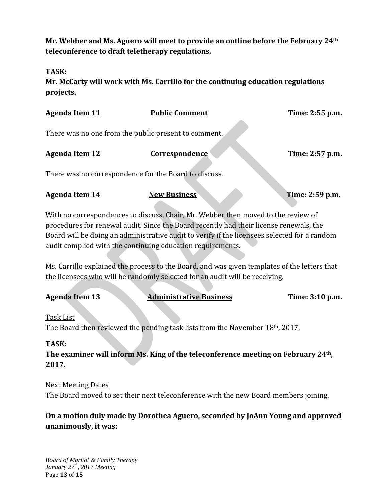**Mr. Webber and Ms. Aguero will meet to provide an outline before the February 24th teleconference to draft teletherapy regulations.**

**TASK:**

**Mr. McCarty will work with Ms. Carrillo for the continuing education regulations projects.**

| <b>Agenda Item 11</b>                                                                                                                                                                                                                                                                                                                     | <b>Public Comment</b>          | Time: 2:55 p.m. |  |  |  |  |
|-------------------------------------------------------------------------------------------------------------------------------------------------------------------------------------------------------------------------------------------------------------------------------------------------------------------------------------------|--------------------------------|-----------------|--|--|--|--|
| There was no one from the public present to comment.                                                                                                                                                                                                                                                                                      |                                |                 |  |  |  |  |
| <b>Agenda Item 12</b>                                                                                                                                                                                                                                                                                                                     | <b>Correspondence</b>          | Time: 2:57 p.m. |  |  |  |  |
| There was no correspondence for the Board to discuss.                                                                                                                                                                                                                                                                                     |                                |                 |  |  |  |  |
| <b>Agenda Item 14</b>                                                                                                                                                                                                                                                                                                                     | <b>New Business</b>            | Time: 2:59 p.m. |  |  |  |  |
| With no correspondences to discuss, Chair, Mr. Webber then moved to the review of<br>procedures for renewal audit. Since the Board recently had their license renewals, the<br>Board will be doing an administrative audit to verify if the licensees selected for a random<br>audit complied with the continuing education requirements. |                                |                 |  |  |  |  |
| Ms. Carrillo explained the process to the Board, and was given templates of the letters that<br>the licensees who will be randomly selected for an audit will be receiving.                                                                                                                                                               |                                |                 |  |  |  |  |
| <b>Agenda Item 13</b>                                                                                                                                                                                                                                                                                                                     | <b>Administrative Business</b> | Time: 3:10 p.m. |  |  |  |  |
| <b>Task List</b><br>The Board then reviewed the pending task lists from the November 18th, 2017.<br>m 8 atz                                                                                                                                                                                                                               |                                |                 |  |  |  |  |

# **TASK:**

**The examiner will inform Ms. King of the teleconference meeting on February 24th, 2017.**

Next Meeting Dates The Board moved to set their next teleconference with the new Board members joining.

# **On a motion duly made by Dorothea Aguero, seconded by JoAnn Young and approved unanimously, it was:**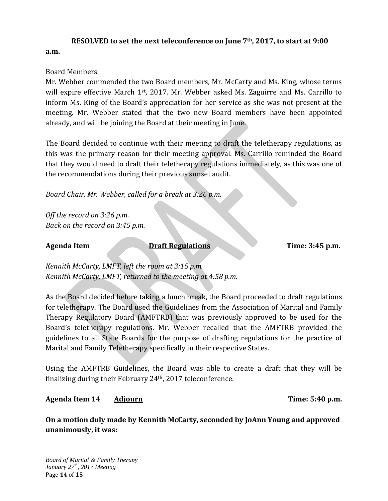#### **RESOLVED to set the next teleconference on June 7th, 2017, to start at 9:00**

**a.m.**

#### Board Members

Mr. Webber commended the two Board members, Mr. McCarty and Ms. King, whose terms will expire effective March  $1<sup>st</sup>$ , 2017. Mr. Webber asked Ms. Zaguirre and Ms. Carrillo to inform Ms. King of the Board's appreciation for her service as she was not present at the meeting. Mr. Webber stated that the two new Board members have been appointed already, and will be joining the Board at their meeting in June.

The Board decided to continue with their meeting to draft the teletherapy regulations, as this was the primary reason for their meeting approval. Ms. Carrillo reminded the Board that they would need to draft their teletherapy regulations immediately, as this was one of the recommendations during their previous sunset audit.

*Board Chair, Mr. Webber, called for a break at 3:26 p.m.*

*Off the record on 3:26 p.m. Back on the record on 3:45 p.m.*

Agenda Item **Draft Regulations** Time: 3:45 p.m.

*Kennith McCarty, LMFT, left the room at 3:15 p.m. Kennith McCarty, LMFT, returned to the meeting at 4:58 p.m.*

As the Board decided before taking a lunch break, the Board proceeded to draft regulations for teletherapy. The Board used the Guidelines from the Association of Marital and Family Therapy Regulatory Board (AMFTRB) that was previously approved to be used for the Board's teletherapy regulations. Mr. Webber recalled that the AMFTRB provided the guidelines to all State Boards for the purpose of drafting regulations for the practice of Marital and Family Teletherapy specifically in their respective States.

Using the AMFTRB Guidelines, the Board was able to create a draft that they will be finalizing during their February 24th, 2017 teleconference.

### **Agenda Item 14 Adjourn Time: 5:40 p.m.**

**On a motion duly made by Kennith McCarty, seconded by JoAnn Young and approved unanimously, it was:**